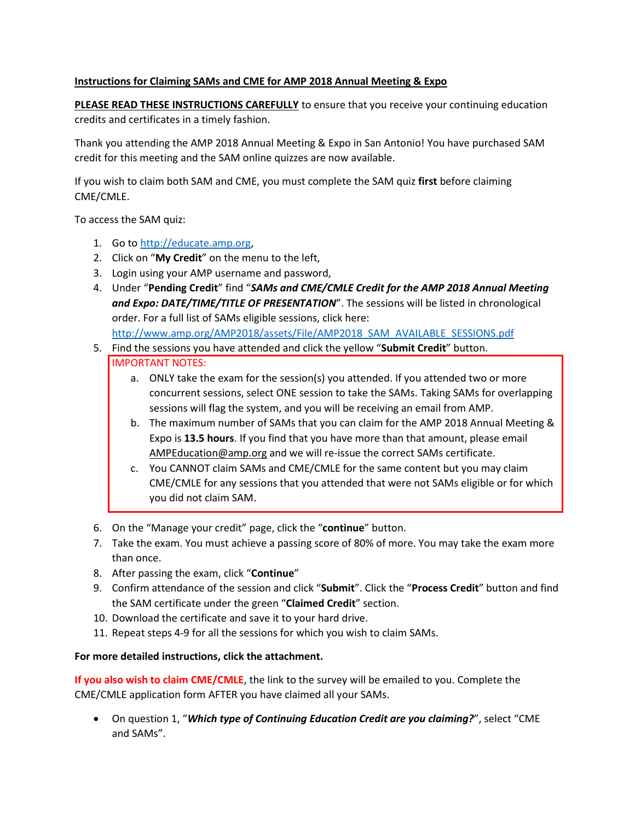## **Instructions for Claiming SAMs and CME for AMP 2018 Annual Meeting & Expo**

**PLEASE READ THESE INSTRUCTIONS CAREFULLY** to ensure that you receive your continuing education credits and certificates in a timely fashion.

Thank you attending the AMP 2018 Annual Meeting & Expo in San Antonio! You have purchased SAM credit for this meeting and the SAM online quizzes are now available.

If you wish to claim both SAM and CME, you must complete the SAM quiz **first** before claiming CME/CMLE.

To access the SAM quiz:

- 1. Go to [http://educate.amp.org,](http://educate.amp.org/)
- 2. Click on "**My Credit**" on the menu to the left,
- 3. Login using your AMP username and password,
- 4. Under "**Pending Credit**" find "*SAMs and CME/CMLE Credit for the AMP 2018 Annual Meeting and Expo: DATE/TIME/TITLE OF PRESENTATION*". The sessions will be listed in chronological order. For a full list of SAMs eligible sessions, click here: [http://www.amp.org/AMP2018/assets/File/AMP2018\\_SAM\\_AVAILABLE\\_SESSIONS.pdf](http://www.amp.org/AMP2018/assets/File/AMP2018_SAM_AVAILABLE_SESSIONS.pdf)
- 5. Find the sessions you have attended and click the yellow "**Submit Credit**" button. IMPORTANT NOTES:
	- a. ONLY take the exam for the session(s) you attended. If you attended two or more concurrent sessions, select ONE session to take the SAMs. Taking SAMs for overlapping sessions will flag the system, and you will be receiving an email from AMP.
	- b. The maximum number of SAMs that you can claim for the AMP 2018 Annual Meeting & Expo is **13.5 hours**. If you find that you have more than that amount, please email [AMPEducation@amp.org](mailto:AMPEducation@amp.org) and we will re-issue the correct SAMs certificate.
	- c. You CANNOT claim SAMs and CME/CMLE for the same content but you may claim CME/CMLE for any sessions that you attended that were not SAMs eligible or for which you did not claim SAM.
- 6. On the "Manage your credit" page, click the "**continue**" button.
- 7. Take the exam. You must achieve a passing score of 80% of more. You may take the exam more than once.
- 8. After passing the exam, click "**Continue**"
- 9. Confirm attendance of the session and click "**Submit**". Click the "**Process Credit**" button and find the SAM certificate under the green "**Claimed Credit**" section.
- 10. Download the certificate and save it to your hard drive.
- 11. Repeat steps 4-9 for all the sessions for which you wish to claim SAMs.

## **For more detailed instructions, click the attachment.**

**If you also wish to claim CME/CMLE**, the link to the survey will be emailed to you. Complete the CME/CMLE application form AFTER you have claimed all your SAMs.

 On question 1, "*Which type of Continuing Education Credit are you claiming?*", select "CME and SAMs".